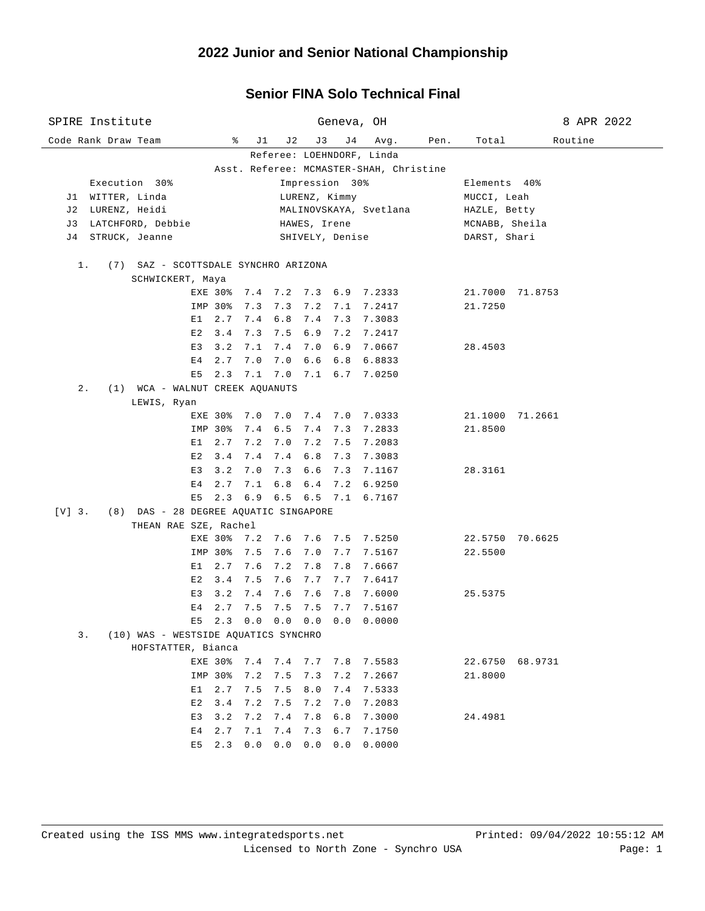# **2022 Junior and Senior National Championship**

### **Senior FINA Solo Technical Final**

| SPIRE Institute                                          |                                       |                |                |                 |              |           |                        | Geneva, OH                     | 8 APR 2022     |                 |         |  |
|----------------------------------------------------------|---------------------------------------|----------------|----------------|-----------------|--------------|-----------|------------------------|--------------------------------|----------------|-----------------|---------|--|
|                                                          | Code Rank Draw Team                   |                |                | ွေ<br>J1        | J 2          | J3        | J 4                    | Avg.                           | Pen.           | Total           | Routine |  |
| Referee: LOEHNDORF, Linda                                |                                       |                |                |                 |              |           |                        |                                |                |                 |         |  |
| Asst. Referee: MCMASTER-SHAH, Christine                  |                                       |                |                |                 |              |           |                        |                                |                |                 |         |  |
| Execution 30%<br>Impression 30%                          |                                       |                |                |                 |              |           |                        |                                |                | Elements 40%    |         |  |
| J1 WITTER, Linda<br>LURENZ, Kimmy                        |                                       |                |                |                 |              |           |                        |                                | MUCCI, Leah    |                 |         |  |
| J 2                                                      | LURENZ, Heidi                         |                |                |                 |              |           | MALINOVSKAYA, Svetlana | HAZLE, Betty                   |                |                 |         |  |
| J 3                                                      | LATCHFORD, Debbie                     |                |                |                 | HAWES, Irene |           |                        |                                | MCNABB, Sheila |                 |         |  |
| STRUCK, Jeanne<br>DARST, Shari<br>J 4<br>SHIVELY, Denise |                                       |                |                |                 |              |           |                        |                                |                |                 |         |  |
| $1$ .<br>(7) SAZ - SCOTTSDALE SYNCHRO ARIZONA            |                                       |                |                |                 |              |           |                        |                                |                |                 |         |  |
| SCHWICKERT, Maya                                         |                                       |                |                |                 |              |           |                        |                                |                |                 |         |  |
|                                                          |                                       |                |                |                 |              |           |                        | EXE 30% 7.4 7.2 7.3 6.9 7.2333 |                | 21.7000 71.8753 |         |  |
|                                                          |                                       |                | IMP 30%        | 7.3             | 7.3          | 7.2 7.1   |                        | 7.2417                         |                | 21.7250         |         |  |
|                                                          |                                       | E 1            | 2.7            | 7.4             | 6.8          | 7.4 7.3   |                        | 7.3083                         |                |                 |         |  |
|                                                          |                                       |                | $E2 \quad 3.4$ | 7.3             | 7.5          |           | $6.9$ $7.2$            | 7.2417                         |                |                 |         |  |
|                                                          |                                       | E3             | 3.2            | 7.1             |              | 7.4 7.0   | 6.9                    | 7.0667                         |                | 28.4503         |         |  |
|                                                          |                                       | E <sub>4</sub> | 2.7            | 7.0             | 7.0          |           | 6.6 6.8                | 6.8833                         |                |                 |         |  |
|                                                          |                                       | E5             | 2.3            |                 |              |           |                        | 7.1 7.0 7.1 6.7 7.0250         |                |                 |         |  |
| $2$ .                                                    | (1) WCA - WALNUT CREEK AQUANUTS       |                |                |                 |              |           |                        |                                |                |                 |         |  |
|                                                          | LEWIS, Ryan                           |                |                |                 |              |           |                        |                                |                |                 |         |  |
|                                                          |                                       |                | EXE 30%        | 7.0             |              |           |                        | 7.0 7.4 7.0 7.0333             |                | 21.1000 71.2661 |         |  |
|                                                          |                                       |                | IMP 30%        | 7.4             | 6.5          | 7.4 7.3   |                        | 7.2833                         |                | 21.8500         |         |  |
|                                                          |                                       | E 1            | 2.7            | 7.2             | 7.0          |           | $7.2$ 7.5              | 7.2083                         |                |                 |         |  |
|                                                          |                                       | E2             | 3.4            | 7.4             | 7.4          |           | $6.8$ 7.3              | 7.3083                         |                |                 |         |  |
|                                                          |                                       | E3             | 3.2            | 7.0             | 7.3          |           | $6.6$ 7.3              | 7.1167                         |                | 28.3161         |         |  |
|                                                          |                                       | E4             | 2.7            | 7.1             | 6.8          |           | $6.4$ 7.2              | 6.9250                         |                |                 |         |  |
|                                                          |                                       | E5             |                |                 |              |           |                        | 2.3 6.9 6.5 6.5 7.1 6.7167     |                |                 |         |  |
| $[V]$ 3.                                                 | (8) DAS - 28 DEGREE AQUATIC SINGAPORE |                |                |                 |              |           |                        |                                |                |                 |         |  |
|                                                          | THEAN RAE SZE, Rachel                 |                |                |                 |              |           |                        |                                |                |                 |         |  |
|                                                          |                                       |                | EXE 30%        | 7.2             | 7.6          | $7.6$ 7.5 |                        | 7.5250                         |                | 22.5750 70.6625 |         |  |
|                                                          |                                       |                | IMP 30%        | 7.5             | 7.6          | 7.0       | 7.7                    | 7.5167                         |                | 22.5500         |         |  |
|                                                          |                                       | E1             | 2.7            | 7.6             | 7.2          | 7.8       | 7.8                    | 7.6667                         |                |                 |         |  |
|                                                          |                                       | E2             | 3.4            | 7.5             | 7.6          |           | 7.7 7.7                | 7.6417                         |                |                 |         |  |
|                                                          |                                       | E3             | 3.2            | 7.4             | 7.6          | 7.6       | 7.8                    | 7.6000                         |                | 25.5375         |         |  |
|                                                          |                                       | Е4             | 2.7            | 7.5             | 7.5          | 7.5       | 7.7                    | 7.5167                         |                |                 |         |  |
|                                                          |                                       | E5             | 2.3            | 0.0             | 0.0          | 0.0       | 0.0                    | 0.0000                         |                |                 |         |  |
| 3.<br>(10) WAS - WESTSIDE AQUATICS SYNCHRO               |                                       |                |                |                 |              |           |                        |                                |                |                 |         |  |
|                                                          | HOFSTATTER, Bianca                    |                |                |                 |              |           |                        |                                |                |                 |         |  |
|                                                          |                                       |                |                | EXE 30% 7.4 7.4 |              | 7.7 7.8   |                        | 7.5583                         |                | 22.6750 68.9731 |         |  |
|                                                          |                                       |                | IMP 30%        | 7.2             | 7.5          | 7.3       | 7.2                    | 7.2667                         |                | 21.8000         |         |  |
|                                                          |                                       | E1             | 2.7            | 7.5             | 7.5          | 8.0       | 7.4                    | 7.5333                         |                |                 |         |  |
|                                                          |                                       | E2             | 3.4            | 7.2             | 7.5          | 7.2       | 7.0                    | 7.2083                         |                |                 |         |  |
|                                                          |                                       | E3             | 3.2            | 7.2             | 7.4          | 7.8       | 6.8                    | 7.3000                         |                | 24.4981         |         |  |
|                                                          |                                       | E4             | 2.7            | 7.1             | 7.4          | 7.3       | 6.7                    | 7.1750                         |                |                 |         |  |
|                                                          |                                       | E5             | 2.3            | 0.0             | 0.0          | 0.0       | 0.0                    | 0.0000                         |                |                 |         |  |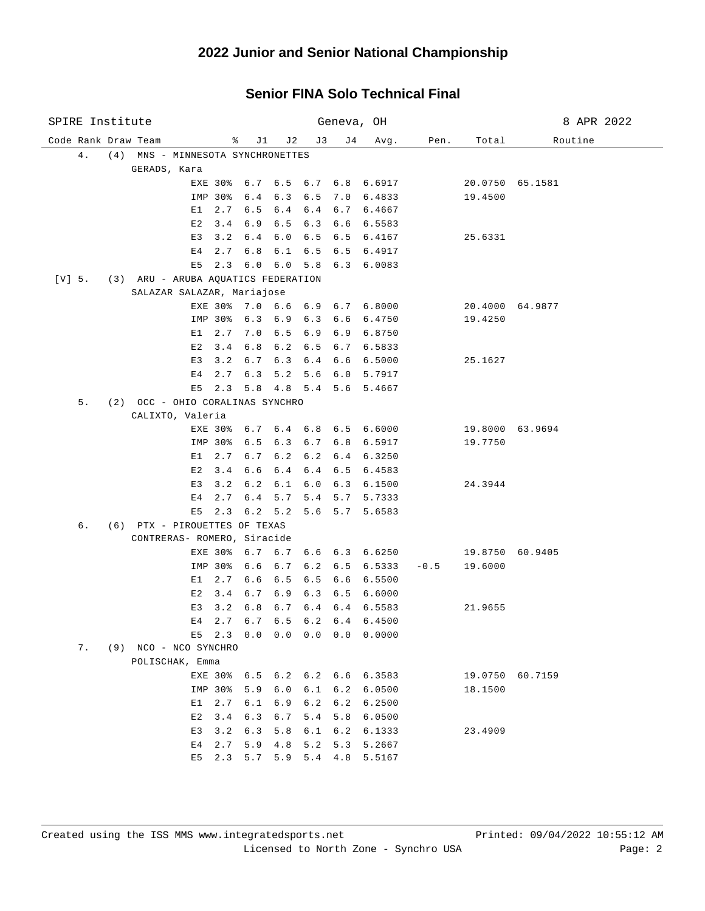# **2022 Junior and Senior National Championship**

#### **Senior FINA Solo Technical Final**

| SPIRE Institute                         |                                     |    | Geneva, OH             |                        |            |                    |       |                                | 8 APR 2022 |                            |                 |
|-----------------------------------------|-------------------------------------|----|------------------------|------------------------|------------|--------------------|-------|--------------------------------|------------|----------------------------|-----------------|
| Code Rank Draw Team                     |                                     |    | ႜ                      | J1                     | J2         | J 3                | J 4   | Avg.                           | Pen.       | Total                      | Routine         |
| 4.<br>(4) MNS - MINNESOTA SYNCHRONETTES |                                     |    |                        |                        |            |                    |       |                                |            |                            |                 |
| GERADS, Kara                            |                                     |    |                        |                        |            |                    |       |                                |            |                            |                 |
|                                         |                                     |    |                        |                        |            |                    |       | EXE 30% 6.7 6.5 6.7 6.8 6.6917 |            |                            | 20.0750 65.1581 |
|                                         |                                     |    | IMP 30%                | 6.4                    | 6.3        | 6.5                |       | 7.0 6.4833                     |            | 19.4500                    |                 |
|                                         |                                     | E1 | 2.7                    | 6.5                    | 6.4        | 6.4                |       | 6.7 6.4667                     |            |                            |                 |
|                                         |                                     | E2 | 3.4                    | 6.9                    | 6.5        | 6.3                | 6.6   | 6.5583                         |            |                            |                 |
|                                         |                                     | E3 | 3.2                    | 6.4                    | 6.0        | 6.5                | 6.5   | 6.4167                         |            | 25.6331                    |                 |
|                                         |                                     | Е4 | 2.7                    | 6.8                    | 6.1        | 6.5                | 6.5   | 6.4917                         |            |                            |                 |
|                                         |                                     | E5 | 2.3                    | 6.0                    | 6.0        | 5.8                | 6.3   | 6.0083                         |            |                            |                 |
| $[V]$ 5.                                | (3) ARU - ARUBA AQUATICS FEDERATION |    |                        |                        |            |                    |       |                                |            |                            |                 |
|                                         | SALAZAR SALAZAR, Mariajose          |    |                        |                        |            |                    | 6.7   | 6.8000                         |            |                            |                 |
|                                         |                                     |    | EXE 30% 7.0<br>IMP 30% | 6.3                    | 6.9        | $6.6 \t6.9$<br>6.3 | 6.6   | 6.4750                         |            | 19.4250                    | 20.4000 64.9877 |
|                                         |                                     | E1 | 2.7                    | 7.0                    | 6.5        | 6.9                | 6.9   | 6.8750                         |            |                            |                 |
|                                         |                                     | E2 | 3.4                    | 6.8                    | 6.2        | 6.5                | 6.7   | 6.5833                         |            |                            |                 |
|                                         |                                     | E3 | 3.2                    | 6.7                    | 6.3        | 6.4                | 6.6   | 6.5000                         |            | 25.1627                    |                 |
|                                         |                                     | Е4 | 2.7                    | 6.3                    | 5.2        | 5.6                | 6.0   | 5.7917                         |            |                            |                 |
|                                         |                                     | E5 | 2.3                    | 5.8                    | 4.8        |                    |       | 5.4 5.6 5.4667                 |            |                            |                 |
| 5.                                      | (2) OCC - OHIO CORALINAS SYNCHRO    |    |                        |                        |            |                    |       |                                |            |                            |                 |
|                                         | CALIXTO, Valeria                    |    |                        |                        |            |                    |       |                                |            |                            |                 |
|                                         |                                     |    |                        |                        |            |                    |       | EXE 30% 6.7 6.4 6.8 6.5 6.6000 |            |                            | 19.8000 63.9694 |
|                                         |                                     |    | IMP 30%                | 6.5                    | 6.3        | 6.7                | $6.8$ | 6.5917                         |            | 19.7750                    |                 |
|                                         |                                     | E1 | 2.7                    | 6.7                    | 6.2        | 6.2                | 6.4   | 6.3250                         |            |                            |                 |
|                                         |                                     | E2 | 3.4                    | 6.6                    | 6.4        | 6.4                | 6.5   | 6.4583                         |            |                            |                 |
|                                         |                                     | E3 | 3.2                    | 6.2                    | 6.1        | 6.0                | 6.3   | 6.1500                         |            | 24.3944                    |                 |
|                                         |                                     | E4 | 2.7                    | 6.4                    | 5.7        | 5.4                | 5.7   | 5.7333                         |            |                            |                 |
|                                         |                                     | E5 | 2.3                    | 6.2                    | 5.2        | 5.6                | 5.7   | 5.6583                         |            |                            |                 |
| б.                                      | (6) PTX - PIROUETTES OF TEXAS       |    |                        |                        |            |                    |       |                                |            |                            |                 |
|                                         | CONTRERAS- ROMERO, Siracide         |    |                        |                        |            |                    |       |                                |            |                            |                 |
|                                         |                                     |    | IMP 30%                | EXE 30% 6.7 6.7<br>6.6 |            | 6.2                | 6.5   | $6.6 \t6.3 \t6.6250$<br>6.5333 | $-0.5$     | 19.8750 60.9405<br>19.6000 |                 |
|                                         |                                     | E1 | 2.7                    | 6.6                    | 6.7<br>6.5 | 6.5                | 6.6   | 6.5500                         |            |                            |                 |
|                                         |                                     | Е2 | 3.4                    | 6.7                    | 6.9        | 6.3                | 6.5   | 6.6000                         |            |                            |                 |
|                                         |                                     | E3 | 3.2                    | 6.8                    | 6.7        | 6.4                | 6.4   | 6.5583                         |            | 21.9655                    |                 |
|                                         |                                     | Е4 | 2.7                    | 6.7                    | 6.5        |                    |       | $6.2 \quad 6.4 \quad 6.4500$   |            |                            |                 |
|                                         |                                     |    |                        |                        |            |                    |       | E5 2.3 0.0 0.0 0.0 0.0 0.0000  |            |                            |                 |
| 7.                                      | (9) NCO - NCO SYNCHRO               |    |                        |                        |            |                    |       |                                |            |                            |                 |
|                                         | POLISCHAK, Emma                     |    |                        |                        |            |                    |       |                                |            |                            |                 |
|                                         |                                     |    | EXE 30%                |                        |            |                    |       | 6.5 6.2 6.2 6.6 6.3583         |            | 19.0750 60.7159            |                 |
|                                         |                                     |    | IMP 30%                | 5.9                    | 6.0        | 6.1                | 6.2   | 6.0500                         |            | 18.1500                    |                 |
|                                         |                                     | E1 | 2.7                    | 6.1                    | 6.9        | 6.2                | 6.2   | 6.2500                         |            |                            |                 |
|                                         |                                     | E2 | 3.4                    | 6.3                    | 6.7        | 5.4                | 5.8   | 6.0500                         |            |                            |                 |
|                                         |                                     | E3 | 3.2                    | 6.3                    | 5.8        | 6.1                | 6.2   | 6.1333                         |            | 23.4909                    |                 |
|                                         |                                     | Е4 | 2.7                    | 5.9                    | 4.8        | 5.2                | 5.3   | 5.2667                         |            |                            |                 |
|                                         |                                     | E5 | 2.3                    | 5.7                    | 5.9        | 5.4                | 4.8   | 5.5167                         |            |                            |                 |